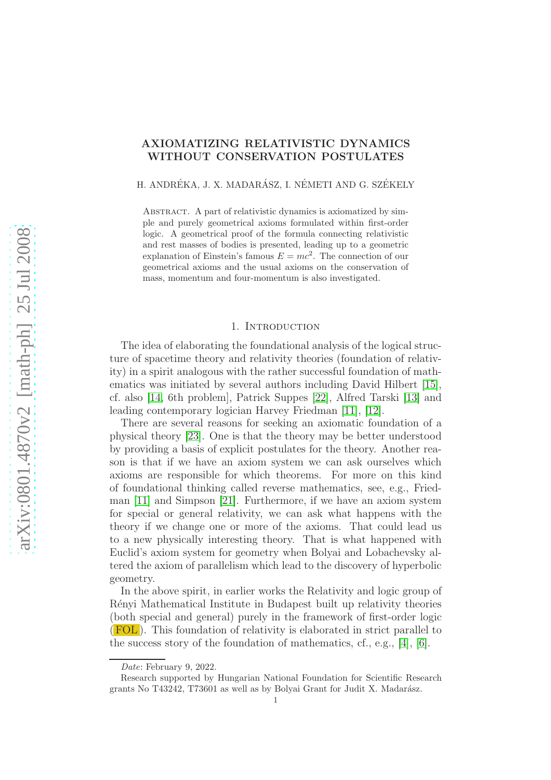# AXIOMATIZING RELATIVISTIC DYNAMICS WITHOUT CONSERVATION POSTULATES

# H. ANDRÉKA, J. X. MADARÁSZ, I. NÉMETI AND G. SZÉKELY

Abstract. A part of relativistic dynamics is axiomatized by simple and purely geometrical axioms formulated within first-order logic. A geometrical proof of the formula connecting relativistic and rest masses of bodies is presented, leading up to a geometric explanation of Einstein's famous  $E = mc^2$ . The connection of our geometrical axioms and the usual axioms on the conservation of mass, momentum and four-momentum is also investigated.

#### 1. Introduction

The idea of elaborating the foundational analysis of the logical structure of spacetime theory and relativity theories (foundation of relativity) in a spirit analogous with the rather successful foundation of mathematics was initiated by several authors including David Hilbert [\[15\]](#page-19-0), cf. also [\[14,](#page-19-1) 6th problem], Patrick Suppes [\[22\]](#page-20-0), Alfred Tarski [\[13\]](#page-19-2) and leading contemporary logician Harvey Friedman [\[11\]](#page-19-3), [\[12\]](#page-19-4).

There are several reasons for seeking an axiomatic foundation of a physical theory [\[23\]](#page-20-1). One is that the theory may be better understood by providing a basis of explicit postulates for the theory. Another reason is that if we have an axiom system we can ask ourselves which axioms are responsible for which theorems. For more on this kind of foundational thinking called reverse mathematics, see, e.g., Friedman [\[11\]](#page-19-3) and Simpson [\[21\]](#page-20-2). Furthermore, if we have an axiom system for special or general relativity, we can ask what happens with the theory if we change one or more of the axioms. That could lead us to a new physically interesting theory. That is what happened with Euclid's axiom system for geometry when Bolyai and Lobachevsky altered the axiom of parallelism which lead to the discovery of hyperbolic geometry.

In the above spirit, in earlier works the Relativity and logic group of Rényi Mathematical Institute in Budapest built up relativity theories (both special and general) purely in the framework of first-order logic ( FOL ). This foundation of relativity is elaborated in strict parallel to the success story of the foundation of mathematics, cf., e.g., [\[4\]](#page-19-5), [\[6\]](#page-19-6).

*Date*: February 9, 2022.

Research supported by Hungarian National Foundation for Scientific Research grants No T43242, T73601 as well as by Bolyai Grant for Judit X. Madarász.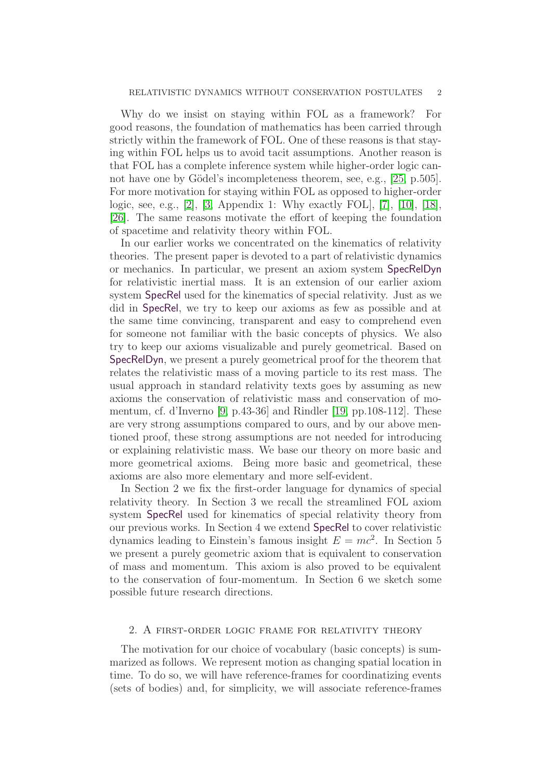Why do we insist on staying within FOL as a framework? For good reasons, the foundation of mathematics has been carried through strictly within the framework of FOL. One of these reasons is that staying within FOL helps us to avoid tacit assumptions. Another reason is that FOL has a complete inference system while higher-order logic can-not have one by Gödel's incompleteness theorem, see, e.g., [\[25,](#page-20-3) p.505]. For more motivation for staying within FOL as opposed to higher-order logic, see, e.g., [\[2\]](#page-19-7), [\[3,](#page-19-8) Appendix 1: Why exactly FOL], [\[7\]](#page-19-9), [\[10\]](#page-19-10), [\[18\]](#page-19-11), [\[26\]](#page-20-4). The same reasons motivate the effort of keeping the foundation of spacetime and relativity theory within FOL.

In our earlier works we concentrated on the kinematics of relativity theories. The present paper is devoted to a part of relativistic dynamics or mechanics. In particular, we present an axiom system SpecRelDyn for relativistic inertial mass. It is an extension of our earlier axiom system SpecRel used for the kinematics of special relativity. Just as we did in SpecRel, we try to keep our axioms as few as possible and at the same time convincing, transparent and easy to comprehend even for someone not familiar with the basic concepts of physics. We also try to keep our axioms visualizable and purely geometrical. Based on SpecRelDyn, we present a purely geometrical proof for the theorem that relates the relativistic mass of a moving particle to its rest mass. The usual approach in standard relativity texts goes by assuming as new axioms the conservation of relativistic mass and conservation of momentum, cf. d'Inverno [\[9,](#page-19-12) p.43-36] and Rindler [\[19,](#page-19-13) pp.108-112]. These are very strong assumptions compared to ours, and by our above mentioned proof, these strong assumptions are not needed for introducing or explaining relativistic mass. We base our theory on more basic and more geometrical axioms. Being more basic and geometrical, these axioms are also more elementary and more self-evident.

In Section 2 we fix the first-order language for dynamics of special relativity theory. In Section 3 we recall the streamlined FOL axiom system SpecRel used for kinematics of special relativity theory from our previous works. In Section 4 we extend SpecRel to cover relativistic dynamics leading to Einstein's famous insight  $E = mc^2$ . In Section 5 we present a purely geometric axiom that is equivalent to conservation of mass and momentum. This axiom is also proved to be equivalent to the conservation of four-momentum. In Section 6 we sketch some possible future research directions.

### 2. A first-order logic frame for relativity theory

The motivation for our choice of vocabulary (basic concepts) is summarized as follows. We represent motion as changing spatial location in time. To do so, we will have reference-frames for coordinatizing events (sets of bodies) and, for simplicity, we will associate reference-frames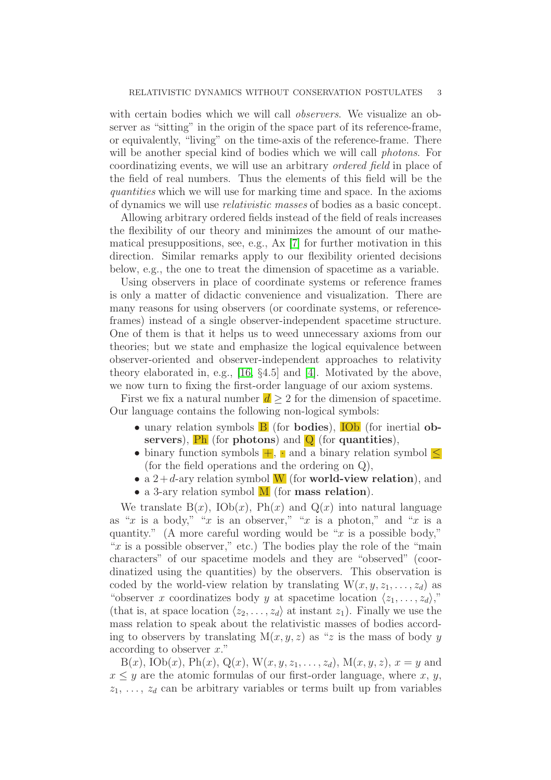with certain bodies which we will call *observers*. We visualize an observer as "sitting" in the origin of the space part of its reference-frame, or equivalently, "living" on the time-axis of the reference-frame. There will be another special kind of bodies which we will call *photons*. For coordinatizing events, we will use an arbitrary ordered field in place of the field of real numbers. Thus the elements of this field will be the quantities which we will use for marking time and space. In the axioms of dynamics we will use relativistic masses of bodies as a basic concept.

Allowing arbitrary ordered fields instead of the field of reals increases the flexibility of our theory and minimizes the amount of our mathematical presuppositions, see, e.g., Ax [\[7\]](#page-19-9) for further motivation in this direction. Similar remarks apply to our flexibility oriented decisions below, e.g., the one to treat the dimension of spacetime as a variable.

Using observers in place of coordinate systems or reference frames is only a matter of didactic convenience and visualization. There are many reasons for using observers (or coordinate systems, or referenceframes) instead of a single observer-independent spacetime structure. One of them is that it helps us to weed unnecessary axioms from our theories; but we state and emphasize the logical equivalence between observer-oriented and observer-independent approaches to relativity theory elaborated in, e.g., [\[16,](#page-19-14) §4.5] and [\[4\]](#page-19-5). Motivated by the above, we now turn to fixing the first-order language of our axiom systems.

First we fix a natural number  $d > 2$  for the dimension of spacetime. Our language contains the following non-logical symbols:

- unary relation symbols **B** (for **bodies**), **IOb** (for inertial **ob**servers),  $\overline{Ph}$  (for photons) and  $\overline{Q}$  (for quantities),
- binary function symbols  $+$ , · and a binary relation symbol  $\leq$ (for the field operations and the ordering on Q),
- a  $2+d$ -ary relation symbol **W** (for **world-view relation**), and
- a 3-ary relation symbol **M** (for **mass relation**).

We translate  $B(x)$ ,  $IOb(x)$ ,  $Ph(x)$  and  $Q(x)$  into natural language as "x is a body," "x is an observer," "x is a photon," and "x is a quantity." (A more careful wording would be " $x$  is a possible body," "x is a possible observer," etc.) The bodies play the role of the "main" characters" of our spacetime models and they are "observed" (coordinatized using the quantities) by the observers. This observation is coded by the world-view relation by translating  $W(x, y, z_1, \ldots, z_d)$  as "observer x coordinatizes body y at spacetime location  $\langle z_1, \ldots, z_d \rangle$ " (that is, at space location  $\langle z_2, \ldots, z_d \rangle$  at instant  $z_1$ ). Finally we use the mass relation to speak about the relativistic masses of bodies according to observers by translating  $M(x, y, z)$  as "z is the mass of body y according to observer x."

 $B(x)$ ,  $IOb(x)$ ,  $Ph(x)$ ,  $Q(x)$ ,  $W(x, y, z_1, ..., z_d)$ ,  $M(x, y, z)$ ,  $x = y$  and  $x \leq y$  are the atomic formulas of our first-order language, where x, y,  $z_1, \ldots, z_d$  can be arbitrary variables or terms built up from variables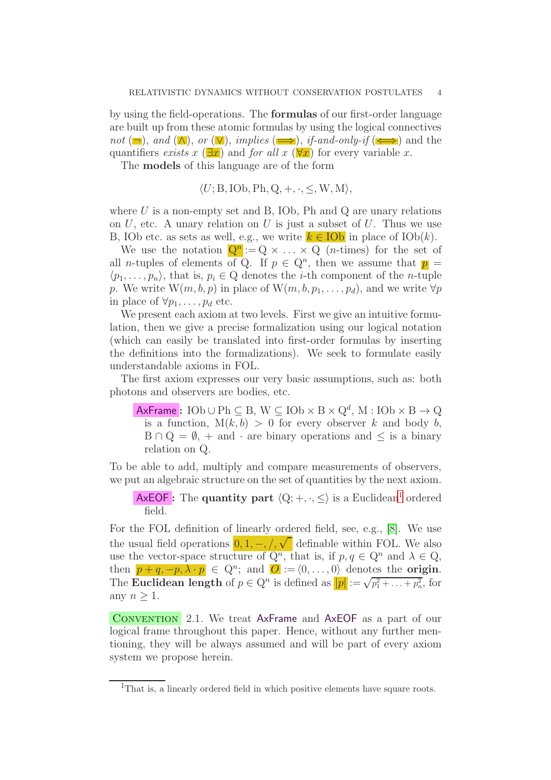by using the field-operations. The formulas of our first-order language are built up from these atomic formulas by using the logical connectives not  $(\neg)$ , and  $(\wedge)$ , or  $(\vee)$ , implies  $(\implies)$ , if-and-only-if  $(\iff)$  and the quantifiers exists x  $(\exists x)$  and for all x  $(\forall x)$  for every variable x.

The models of this language are of the form

$$
\langle U; \mathbf{B}, \mathbf{IOb}, \mathbf{Ph}, \mathbf{Q}, +, \cdot, \leq, \mathbf{W}, \mathbf{M} \rangle,
$$

where  $U$  is a non-empty set and B, IOb, Ph and Q are unary relations on  $U$ , etc. A unary relation on  $U$  is just a subset of  $U$ . Thus we use B, IOb etc. as sets as well, e.g., we write  $k \in$  IOb in place of IOb(k).

We use the notation  $Q^n := Q \times ... \times Q$  (*n*-times) for the set of all *n*-tuples of elements of Q. If  $p \in \mathbb{Q}^n$ , then we assume that  $p =$  $\langle p_1, \ldots, p_n \rangle$ , that is,  $p_i \in \mathbb{Q}$  denotes the *i*-th component of the *n*-tuple p. We write  $W(m, b, p)$  in place of  $W(m, b, p_1, \ldots, p_d)$ , and we write  $\forall p$ in place of  $\forall p_1, \ldots, p_d$  etc.

We present each axiom at two levels. First we give an intuitive formulation, then we give a precise formalization using our logical notation (which can easily be translated into first-order formulas by inserting the definitions into the formalizations). We seek to formulate easily understandable axioms in FOL.

The first axiom expresses our very basic assumptions, such as: both photons and observers are bodies, etc.

AxFrame:  $IOb \cup Ph \subseteq B$ ,  $W \subseteq IOb \times B \times Q^d$ ,  $M: IOb \times B \to Q$ is a function,  $M(k, b) > 0$  for every observer k and body b,  $B \cap Q = \emptyset$ , + and · are binary operations and  $\leq$  is a binary relation on Q.

To be able to add, multiply and compare measurements of observers, we put an algebraic structure on the set of quantities by the next axiom.

AxEOF: The quantity part  $\langle Q; +, \cdot, \leq \rangle$  is a Euclidean<sup>[1](#page-3-0)</sup> ordered field.

For the FOL definition of linearly ordered field, see, e.g., [\[8\]](#page-19-15). We use the usual field operations  $\overline{0, 1, -1}$ ,  $\sqrt{\phantom{0}}$  definable within FOL. We also use the vector-space structure of  $Q^n$ , that is, if  $p, q \in Q^n$  and  $\lambda \in Q$ , then  $p+q, -p, \lambda \cdot p \in \mathbb{Q}^n$ ; and  $\mathcal{O} := \langle 0, \ldots, 0 \rangle$  denotes the **origin**. The **Euclidean length** of  $p \in Q^n$  is defined as  $||p|| := \sqrt{p_1^2 + \ldots + p_n^2}$ , for any  $n \geq 1$ .

Convention 2.1. We treat AxFrame and AxEOF as a part of our logical frame throughout this paper. Hence, without any further mentioning, they will be always assumed and will be part of every axiom system we propose herein.

<span id="page-3-0"></span><sup>&</sup>lt;sup>1</sup>That is, a linearly ordered field in which positive elements have square roots.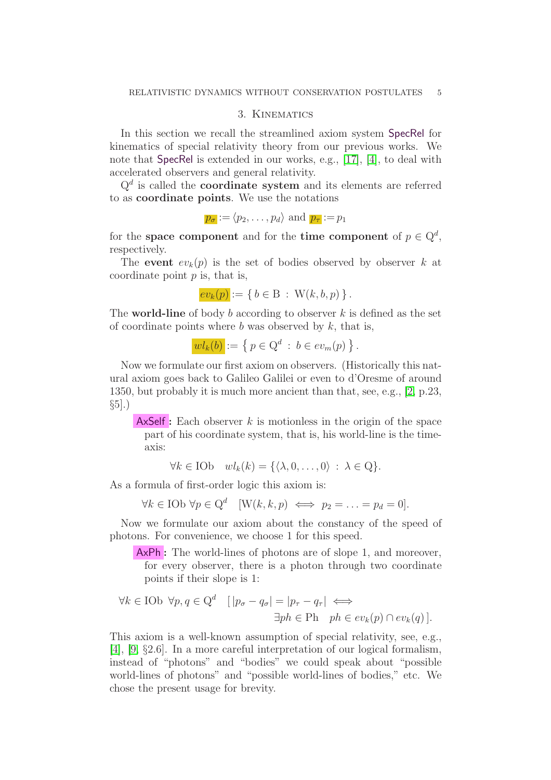### 3. Kinematics

In this section we recall the streamlined axiom system SpecRel for kinematics of special relativity theory from our previous works. We note that SpecRel is extended in our works, e.g., [\[17\]](#page-19-16), [\[4\]](#page-19-5), to deal with accelerated observers and general relativity.

 $Q<sup>d</sup>$  is called the **coordinate system** and its elements are referred to as coordinate points. We use the notations

$$
p_{\sigma} := \langle p_2, \ldots, p_d \rangle
$$
 and  $p_{\tau} := p_1$ 

for the **space component** and for the **time component** of  $p \in \mathbb{Q}^d$ , respectively.

The event  $ev_k(p)$  is the set of bodies observed by observer k at coordinate point  $p$  is, that is,

$$
ev_k(p) := \{ b \in B : W(k, b, p) \}.
$$

The **world-line** of body b according to observer k is defined as the set of coordinate points where b was observed by  $k$ , that is,

$$
wl_k(b) := \{ p \in \mathbf{Q}^d : b \in ev_m(p) \}.
$$

Now we formulate our first axiom on observers. (Historically this natural axiom goes back to Galileo Galilei or even to d'Oresme of around 1350, but probably it is much more ancient than that, see, e.g., [\[2,](#page-19-7) p.23,  $\S5$ .)

AxSelf : Each observer k is motionless in the origin of the space part of his coordinate system, that is, his world-line is the timeaxis:

 $\forall k \in \text{IOb} \quad w l_k(k) = \{\langle \lambda, 0, \ldots, 0 \rangle : \lambda \in \mathbb{Q}\}.$ 

As a formula of first-order logic this axiom is:

$$
\forall k \in \text{IOb } \forall p \in \mathbf{Q}^d \quad [\mathbf{W}(k,k,p) \iff p_2 = \ldots = p_d = 0].
$$

Now we formulate our axiom about the constancy of the speed of photons. For convenience, we choose 1 for this speed.

AxPh : The world-lines of photons are of slope 1, and moreover, for every observer, there is a photon through two coordinate points if their slope is 1:

$$
\forall k \in \text{IOb } \forall p, q \in \mathbb{Q}^d \quad [ |p_{\sigma} - q_{\sigma}| = |p_{\tau} - q_{\tau}| \iff \exists ph \in \text{Ph } ph \in ev_k(p) \cap ev_k(q)].
$$

This axiom is a well-known assumption of special relativity, see, e.g., [\[4\]](#page-19-5), [\[9,](#page-19-12) §2.6]. In a more careful interpretation of our logical formalism, instead of "photons" and "bodies" we could speak about "possible world-lines of photons" and "possible world-lines of bodies," etc. We chose the present usage for brevity.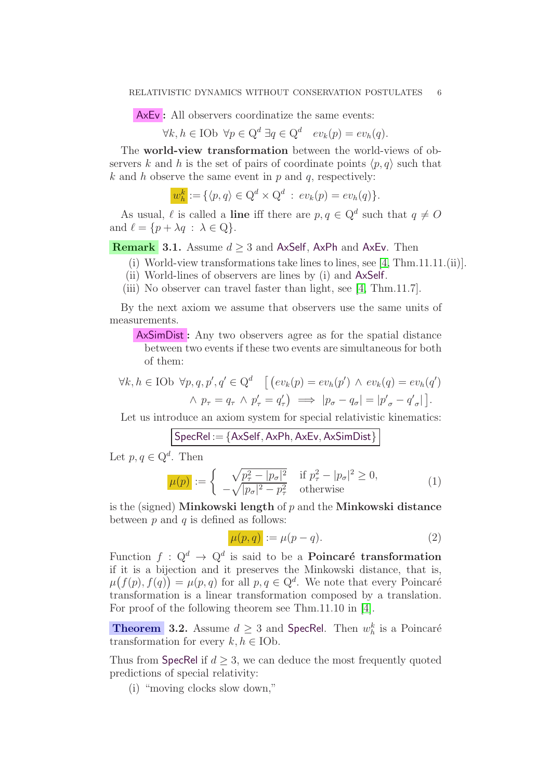AxEv : All observers coordinatize the same events:

$$
\forall k, h \in \text{IOb } \forall p \in \mathbf{Q}^d \; \exists q \in \mathbf{Q}^d \quad ev_k(p) = ev_h(q).
$$

The world-view transformation between the world-views of observers k and h is the set of pairs of coordinate points  $\langle p, q \rangle$  such that  $k$  and  $h$  observe the same event in  $p$  and  $q$ , respectively:

 $w_h^k := \{ \langle p, q \rangle \in \mathbb{Q}^d \times \mathbb{Q}^d : ev_k(p) = ev_h(q) \}.$ 

As usual,  $\ell$  is called a line iff there are  $p, q \in \mathbb{Q}^d$  such that  $q \neq O$ and  $\ell = \{p + \lambda q : \lambda \in Q\}.$ 

<span id="page-5-0"></span>**Remark** 3.1. Assume  $d \geq 3$  and AxSelf, AxPh and AxEv. Then

- (i) World-view transformations take lines to lines, see  $[4, Thm.11.11.(\text{ii})]$ .
- (ii) World-lines of observers are lines by (i) and AxSelf.
- (iii) No observer can travel faster than light, see [\[4,](#page-19-5) Thm.11.7].

By the next axiom we assume that observers use the same units of measurements.

AxSimDist: Any two observers agree as for the spatial distance between two events if these two events are simultaneous for both of them:

$$
\forall k, h \in \text{IOb } \forall p, q, p', q' \in \mathbb{Q}^d \quad \left[ \left( ev_k(p) = ev_h(p') \land ev_k(q) = ev_h(q') \right) \land p_{\tau} = q_{\tau} \land p'_{\tau} = q'_{\tau} \right) \implies |p_{\sigma} - q_{\sigma}| = |p'_{\sigma} - q'_{\sigma}| \ .
$$

Let us introduce an axiom system for special relativistic kinematics:

$$
SpecRel := \{AxSelf, AxPh, AxEv, AxSimDist\}
$$

Let  $p, q \in \mathbb{Q}^d$ . Then

$$
\mu(p) := \begin{cases} \sqrt{p_{\tau}^2 - |p_{\sigma}|^2} & \text{if } p_{\tau}^2 - |p_{\sigma}|^2 \ge 0, \\ -\sqrt{|p_{\sigma}|^2 - p_{\tau}^2} & \text{otherwise} \end{cases}
$$
(1)

is the (signed) Minkowski length of  $p$  and the Minkowski distance between  $p$  and  $q$  is defined as follows:

$$
\mu(p,q) := \mu(p-q). \tag{2}
$$

Function  $f : Q^d \to Q^d$  is said to be a **Poincaré transformation** if it is a bijection and it preserves the Minkowski distance, that is,  $\mu(f(p), f(q)) = \mu(p, q)$  for all  $p, q \in \mathbb{Q}^d$ . We note that every Poincaré transformation is a linear transformation composed by a translation. For proof of the following theorem see Thm.11.10 in [\[4\]](#page-19-5).

**Theorem** 3.2. Assume  $d \geq 3$  and SpecRel. Then  $w_h^k$  is a Poincaré transformation for every  $k, h \in$  IOb.

Thus from SpecRel if  $d \geq 3$ , we can deduce the most frequently quoted predictions of special relativity:

(i) "moving clocks slow down,"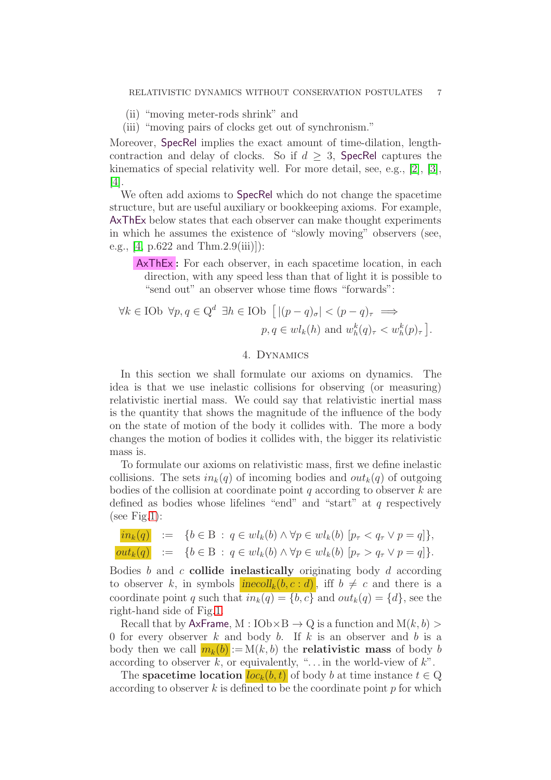(ii) "moving meter-rods shrink" and

(iii) "moving pairs of clocks get out of synchronism."

Moreover, SpecRel implies the exact amount of time-dilation, lengthcontraction and delay of clocks. So if  $d \geq 3$ , SpecRel captures the kinematics of special relativity well. For more detail, see, e.g., [\[2\]](#page-19-7), [\[3\]](#page-19-8), [\[4\]](#page-19-5).

We often add axioms to **SpecRel** which do not change the spacetime structure, but are useful auxiliary or bookkeeping axioms. For example, AxThEx below states that each observer can make thought experiments in which he assumes the existence of "slowly moving" observers (see, e.g., [\[4,](#page-19-5) p.622 and Thm.2.9(iii)]):

AxThEx : For each observer, in each spacetime location, in each direction, with any speed less than that of light it is possible to "send out" an observer whose time flows "forwards":

$$
\forall k \in \text{IOb } \forall p, q \in \mathbb{Q}^d \; \exists h \in \text{IOb } \left[ \left| (p - q)_{\sigma} \right| < (p - q)_{\tau} \implies \right. \\
 p, q \in w l_k(h) \text{ and } w_h^k(q)_{\tau} < w_h^k(p)_{\tau} \left] .
$$

### 4. Dynamics

In this section we shall formulate our axioms on dynamics. The idea is that we use inelastic collisions for observing (or measuring) relativistic inertial mass. We could say that relativistic inertial mass is the quantity that shows the magnitude of the influence of the body on the state of motion of the body it collides with. The more a body changes the motion of bodies it collides with, the bigger its relativistic mass is.

To formulate our axioms on relativistic mass, first we define inelastic collisions. The sets  $in_k(q)$  of incoming bodies and  $out_k(q)$  of outgoing bodies of the collision at coordinate point  $q$  according to observer  $k$  are defined as bodies whose lifelines "end" and "start" at  $q$  respectively (see Fig[.1\)](#page-7-0):

$$
\begin{array}{rcl}\n\mathbf{i} n_k(q) & := & \{b \in \mathcal{B} \; : \; q \in \mathit{wl}_k(b) \land \forall p \in \mathit{wl}_k(b) \; [p_\tau < q_\tau \lor p = q] \}, \\
\mathbf{out}_k(q) & := & \{b \in \mathcal{B} \; : \; q \in \mathit{wl}_k(b) \land \forall p \in \mathit{wl}_k(b) \; [p_\tau > q_\tau \lor p = q] \}.\n\end{array}
$$

Bodies  $b$  and  $c$  collide inelastically originating body  $d$  according to observer k, in symbols  $\text{inecoll}_k(b, c : d)$ , iff  $b \neq c$  and there is a coordinate point q such that  $in_k(q) = \{b, c\}$  and  $out_k(q) = \{d\}$ , see the right-hand side of Fig[.1.](#page-7-0)

Recall that by AxFrame, M : IOb $\times$ B  $\rightarrow$  Q is a function and M(k, b)  $>$ 0 for every observer k and body b. If k is an observer and b is a body then we call  $m_k(b) := M(k, b)$  the **relativistic mass** of body b according to observer k, or equivalently, "... in the world-view of  $k$ ".

The **spacetime location**  $loc_k(b, t)$  of body b at time instance  $t \in Q$ according to observer  $k$  is defined to be the coordinate point  $p$  for which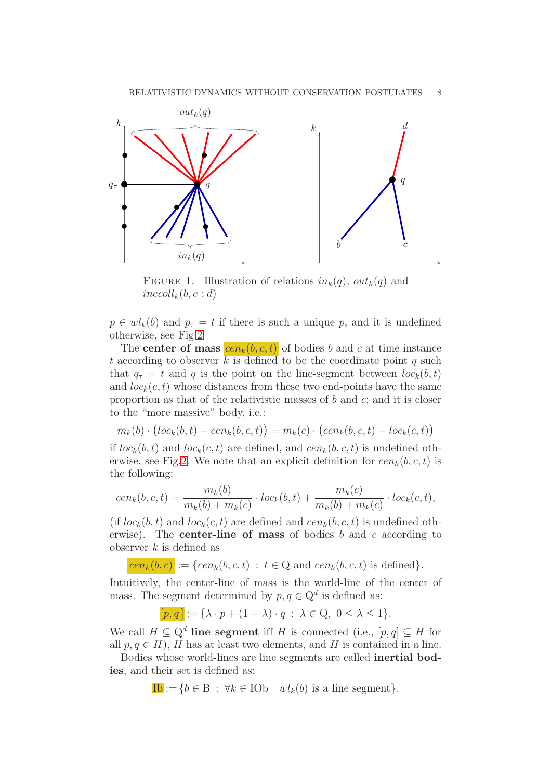



<span id="page-7-0"></span>FIGURE 1. Illustration of relations  $in_k(q)$ ,  $out_k(q)$  and  $inecoll_k(b, c:d)$ 

 $p \in w l_k(b)$  and  $p_\tau = t$  if there is such a unique p, and it is undefined otherwise, see Fig[.2.](#page-8-0)

The **center of mass**  $\overline{cen_k(b, c, t)}$  of bodies b and c at time instance t according to observer k is defined to be the coordinate point q such that  $q_{\tau} = t$  and q is the point on the line-segment between  $loc_k(b, t)$ and  $loc_k(c, t)$  whose distances from these two end-points have the same proportion as that of the relativistic masses of  $b$  and  $c$ ; and it is closer to the "more massive" body, i.e.:

$$
m_k(b) \cdot (loc_k(b, t) - cen_k(b, c, t)) = m_k(c) \cdot (cen_k(b, c, t) - loc_k(c, t))
$$

if  $loc_k(b, t)$  and  $loc_k(c, t)$  are defined, and  $cen_k(b, c, t)$  is undefined oth-erwise, see Fig[.2.](#page-8-0) We note that an explicit definition for  $cen<sub>k</sub>(b, c, t)$  is the following:

$$
cen_k(b, c, t) = \frac{m_k(b)}{m_k(b) + m_k(c)} \cdot loc_k(b, t) + \frac{m_k(c)}{m_k(b) + m_k(c)} \cdot loc_k(c, t),
$$

(if  $loc_k(b, t)$  and  $loc_k(c, t)$  are defined and  $cen_k(b, c, t)$  is undefined otherwise). The **center-line of mass** of bodies  $b$  and  $c$  according to observer  $k$  is defined as

 $\boxed{cen_k(b, c)} := \{cen_k(b, c, t) : t \in \mathbb{Q} \text{ and } cen_k(b, c, t) \text{ is defined} \}.$ 

Intuitively, the center-line of mass is the world-line of the center of mass. The segment determined by  $p, q \in \mathbb{Q}^d$  is defined as:

$$
[p,q]: = {\lambda \cdot p + (1-\lambda) \cdot q : \lambda \in Q, 0 \le \lambda \le 1}.
$$

We call  $H \subseteq Q^d$  line segment iff H is connected (i.e.,  $[p, q] \subseteq H$  for all  $p, q \in H$ ), H has at least two elements, and H is contained in a line.

Bodies whose world-lines are line segments are called inertial bodies, and their set is defined as:

 $\mathbf{I}\mathbf{b} := \{b \in \mathbf{B} : \forall k \in \text{IOb} \quad w l_k(b) \text{ is a line segment}\}.$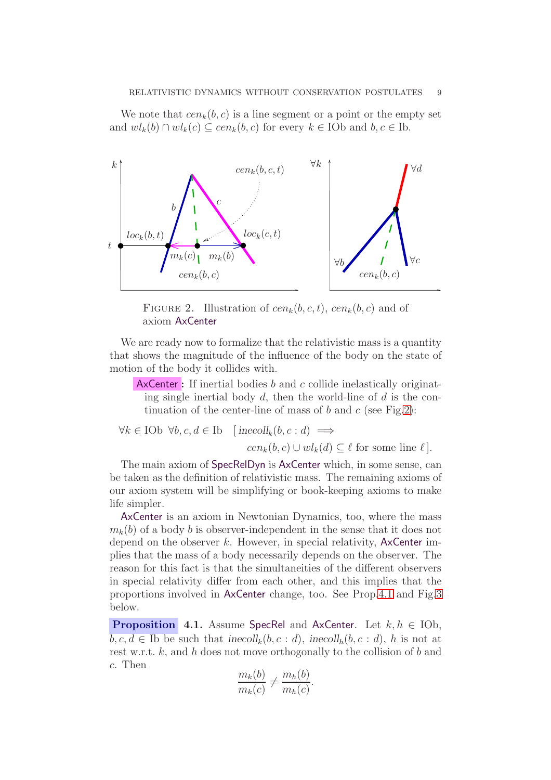#### PSfrag replacements

We note that  $cen_k(b, c)$  is a line segment or a point or the empty set and  $wl_k(b) \capwl_k(c) \subseteq cen_k(b,c)$  for every  $k \in$  IOb and  $b, c \in$  Ib.



<span id="page-8-0"></span>FIGURE 2. Illustration of  $cen_k(b, c, t)$ ,  $cen_k(b, c)$  and of axiom AxCenter

We are ready now to formalize that the relativistic mass is a quantity that shows the magnitude of the influence of the body on the state of motion of the body it collides with.

AxCenter: If inertial bodies b and c collide inelastically originating single inertial body  $d$ , then the world-line of  $d$  is the continuation of the center-line of mass of  $b$  and  $c$  (see Fig[.2\)](#page-8-0):

$$
\forall k \in \text{IOb } \forall b, c, d \in \text{Ib} \quad [\text{inecoll}_k(b, c : d) \implies
$$
  

$$
cen_k(b, c) \cup wl_k(d) \subseteq \ell \text{ for some line } \ell].
$$

The main axiom of SpecRelDyn is AxCenter which, in some sense, can be taken as the definition of relativistic mass. The remaining axioms of our axiom system will be simplifying or book-keeping axioms to make life simpler.

AxCenter is an axiom in Newtonian Dynamics, too, where the mass  $m_k(b)$  of a body b is observer-independent in the sense that it does not depend on the observer  $k$ . However, in special relativity, AxCenter implies that the mass of a body necessarily depends on the observer. The reason for this fact is that the simultaneities of the different observers in special relativity differ from each other, and this implies that the proportions involved in AxCenter change, too. See Prop[.4.1](#page-8-1) and Fig[.3](#page-9-0) below.

<span id="page-8-1"></span>**Proposition 4.1.** Assume SpecRel and AxCenter. Let  $k, h \in$  IOb,  $b, c, d \in$  Ib be such that inecoll<sub>k</sub> $(b, c : d)$ , inecoll<sub>h</sub> $(b, c : d)$ , h is not at rest w.r.t.  $k$ , and  $h$  does not move orthogonally to the collision of  $b$  and c. Then

$$
\frac{m_k(b)}{m_k(c)} \neq \frac{m_h(b)}{m_h(c)}.
$$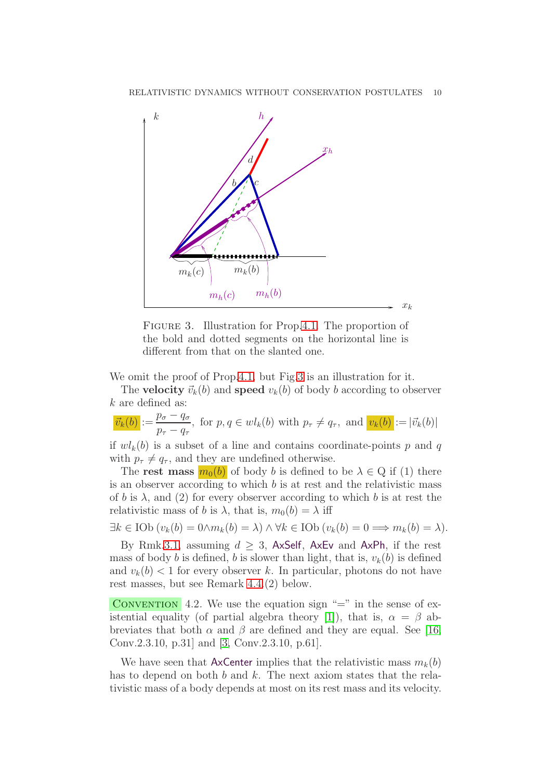

<span id="page-9-0"></span>Figure 3. Illustration for Prop[.4.1.](#page-8-1) The proportion of the bold and dotted segments on the horizontal line is different from that on the slanted one.

We omit the proof of Prop[.4.1,](#page-8-1) but Fig[.3](#page-9-0) is an illustration for it.

The **velocity**  $\vec{v}_k(b)$  and **speed**  $v_k(b)$  of body b according to observer k are defined as:

$$
\vec{v}_k(b) := \frac{p_\sigma - q_\sigma}{p_\tau - q_\tau}, \text{ for } p, q \in wh_k(b) \text{ with } p_\tau \neq q_\tau, \text{ and } \vec{v}_k(b) := |\vec{v}_k(b)|
$$

if  $wl<sub>k</sub>(b)$  is a subset of a line and contains coordinate-points p and q with  $p_{\tau} \neq q_{\tau}$ , and they are undefined otherwise.

The **rest mass**  $m_0(b)$  of body b is defined to be  $\lambda \in Q$  if (1) there is an observer according to which  $b$  is at rest and the relativistic mass of b is  $\lambda$ , and (2) for every observer according to which b is at rest the relativistic mass of b is  $\lambda$ , that is,  $m_0(b) = \lambda$  iff

$$
\exists k \in \text{IOb} \ (v_k(b) = 0 \land m_k(b) = \lambda) \land \forall k \in \text{IOb} \ (v_k(b) = 0 \Longrightarrow m_k(b) = \lambda).
$$

By Rmk[.3.1,](#page-5-0) assuming  $d \geq 3$ , AxSelf, AxEv and AxPh, if the rest mass of body b is defined, b is slower than light, that is,  $v_k(b)$  is defined and  $v_k(b) < 1$  for every observer k. In particular, photons do not have rest masses, but see Remark [4.4.](#page-12-0)(2) below.

CONVENTION 4.2. We use the equation sign "=" in the sense of ex-istential equality (of partial algebra theory [\[1\]](#page-18-0)), that is,  $\alpha = \beta$  abbreviates that both  $\alpha$  and  $\beta$  are defined and they are equal. See [\[16,](#page-19-14) Conv.2.3.10, p.31] and [\[3,](#page-19-8) Conv.2.3.10, p.61].

We have seen that AxCenter implies that the relativistic mass  $m_k(b)$ has to depend on both  $b$  and  $k$ . The next axiom states that the relativistic mass of a body depends at most on its rest mass and its velocity.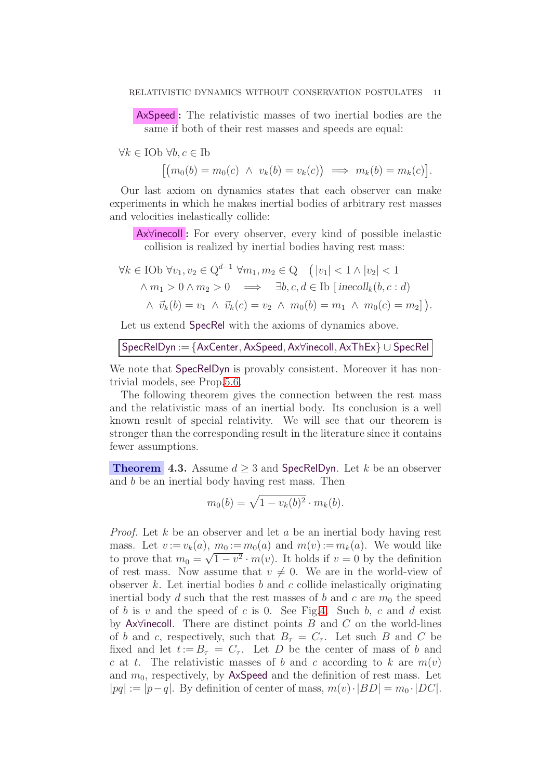AxSpeed : The relativistic masses of two inertial bodies are the same if both of their rest masses and speeds are equal:

$$
\forall k \in \text{IOb } \forall b, c \in \text{Ib}
$$

$$
[(m_0(b) = m_0(c) \land v_k(b) = v_k(c)) \implies m_k(b) = m_k(c)].
$$

Our last axiom on dynamics states that each observer can make experiments in which he makes inertial bodies of arbitrary rest masses and velocities inelastically collide:

Ax∀inecoll : For every observer, every kind of possible inelastic collision is realized by inertial bodies having rest mass:

$$
\forall k \in \text{IOb } \forall v_1, v_2 \in \mathbb{Q}^{d-1} \ \forall m_1, m_2 \in \mathbb{Q} \quad (|v_1| < 1 \land |v_2| < 1
$$
\n
$$
\land m_1 > 0 \land m_2 > 0 \implies \exists b, c, d \in \text{lb } [\text{inecoll}_k(b, c : d)
$$
\n
$$
\land \ \vec{v}_k(b) = v_1 \land \ \vec{v}_k(c) = v_2 \land \ m_0(b) = m_1 \land \ m_0(c) = m_2].
$$

Let us extend SpecRel with the axioms of dynamics above.

$$
SpecRelDyn := \{AxCenter, AxSpeed, Ax\forall inecoll, AxThEx\} \cup SpecRel
$$

We note that SpecRelDyn is provably consistent. Moreover it has nontrivial models, see Prop[.5.6.](#page-18-1)

The following theorem gives the connection between the rest mass and the relativistic mass of an inertial body. Its conclusion is a well known result of special relativity. We will see that our theorem is stronger than the corresponding result in the literature since it contains fewer assumptions.

<span id="page-10-0"></span>**Theorem 4.3.** Assume  $d \geq 3$  and **SpecRelDyn**. Let k be an observer and  $b$  be an inertial body having rest mass. Then

$$
m_0(b) = \sqrt{1 - v_k(b)^2} \cdot m_k(b).
$$

Proof. Let k be an observer and let a be an inertial body having rest mass. Let  $v := v_k(a)$ ,  $m_0 := m_0(a)$  and  $m(v) := m_k(a)$ . We would like to prove that  $m_0 = \sqrt{1 - v^2} \cdot m(v)$ . It holds if  $v = 0$  by the definition of rest mass. Now assume that  $v \neq 0$ . We are in the world-view of observer  $k$ . Let inertial bodies  $b$  and  $c$  collide inelastically originating inertial body d such that the rest masses of b and c are  $m_0$  the speed of b is v and the speed of c is 0. See Fig[.4.](#page-11-0) Such b, c and d exist by Ax∀inecoll. There are distinct points  $B$  and  $C$  on the world-lines of b and c, respectively, such that  $B_{\tau} = C_{\tau}$ . Let such B and C be fixed and let  $t:= B_{\tau} = C_{\tau}$ . Let D be the center of mass of b and c at t. The relativistic masses of b and c according to k are  $m(v)$ and  $m_0$ , respectively, by AxSpeed and the definition of rest mass. Let  $|pq| := |p-q|$ . By definition of center of mass,  $m(v) \cdot |BD| = m_0 \cdot |DC|$ .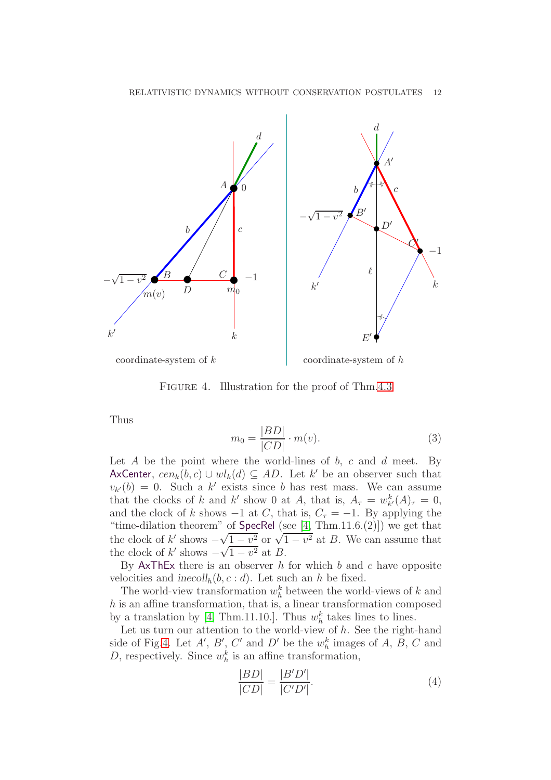

FIGURE 4. Illustration for the proof of Thm[.4.3](#page-10-0)

Thus

<span id="page-11-1"></span><span id="page-11-0"></span>
$$
m_0 = \frac{|BD|}{|CD|} \cdot m(v). \tag{3}
$$

Let  $A$  be the point where the world-lines of  $b$ ,  $c$  and  $d$  meet. By AxCenter,  $cen_k(b, c) \cup wh_k(d) \subseteq AD$ . Let k' be an observer such that  $v_{k'}(b) = 0$ . Such a k' exists since b has rest mass. We can assume that the clocks of k and k' show 0 at A, that is,  $A_{\tau} = w_{k'}^{k}(A)_{\tau} = 0$ , and the clock of k shows  $-1$  at C, that is,  $C_{\tau} = -1$ . By applying the "time-dilation theorem" of  $SpecRel$  (see [\[4,](#page-19-5) Thm.11.6.(2)]) we get that the clock of k' shows  $-\sqrt{1-v^2}$  or  $\sqrt{1-v^2}$  at B. We can assume that the clock of k' shows  $-\sqrt{1-v^2}$  at B.

By  $AxThEx$  there is an observer h for which b and c have opposite velocities and inecoll<sub>h</sub> $(b, c : d)$ . Let such an h be fixed.

The world-view transformation  $w_h^k$  between the world-views of k and  $h$  is an affine transformation, that is, a linear transformation composed by a translation by [\[4,](#page-19-5) Thm.11.10.]. Thus  $w_h^k$  takes lines to lines.

Let us turn our attention to the world-view of  $h$ . See the right-hand side of Fig[.4.](#page-11-0) Let  $A'$ ,  $B'$ ,  $C'$  and  $D'$  be the  $w<sub>h</sub><sup>k</sup>$  images of  $A$ ,  $B$ ,  $C$  and D, respectively. Since  $w_h^k$  is an affine transformation,

<span id="page-11-2"></span>
$$
\frac{|BD|}{|CD|} = \frac{|B'D'|}{|C'D'|}.
$$
\n(4)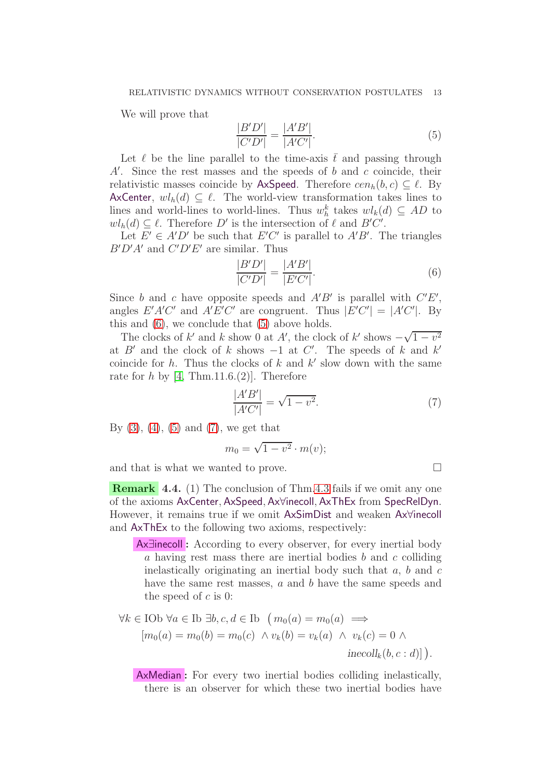We will prove that

<span id="page-12-2"></span>
$$
\frac{|B'D'|}{|C'D'|} = \frac{|A'B'|}{|A'C'|}.
$$
\n(5)

Let  $\ell$  be the line parallel to the time-axis  $\bar{t}$  and passing through A'. Since the rest masses and the speeds of b and c coincide, their relativistic masses coincide by AxSpeed. Therefore  $cen<sub>h</sub>(b, c) \subseteq l$ . By AxCenter,  $wl<sub>h</sub>(d) \subseteq \ell$ . The world-view transformation takes lines to lines and world-lines to world-lines. Thus  $w_h^k$  takes  $wl_k(d) \subseteq AD$  to  $wl_h(d) \subseteq \ell$ . Therefore D' is the intersection of  $\ell$  and  $B'C'$ .

Let  $E' \in A'D'$  be such that  $E'C'$  is parallel to  $A'B'$ . The triangles  $B'D'A'$  and  $C'D'E'$  are similar. Thus

<span id="page-12-1"></span>
$$
\frac{|B'D'|}{|C'D'|} = \frac{|A'B'|}{|E'C'|}.
$$
\n(6)

Since b and c have opposite speeds and  $A'B'$  is parallel with  $C'E'$ , angles  $E'A'C'$  and  $A'E'C'$  are congruent. Thus  $|E'C'| = |A'C'|$ . By this and [\(6\)](#page-12-1), we conclude that [\(5\)](#page-12-2) above holds.

The clocks of k' and k show 0 at A', the clock of k' shows  $-\sqrt{1-v^2}$ at  $B'$  and the clock of k shows  $-1$  at  $C'$ . The speeds of k and k' coincide for h. Thus the clocks of k and  $k'$  slow down with the same rate for h by [\[4,](#page-19-5) Thm.11.6.(2)]. Therefore

<span id="page-12-3"></span>
$$
\frac{|A'B'|}{|A'C'|} = \sqrt{1 - v^2}.
$$
\n(7)

By  $(3)$ ,  $(4)$ ,  $(5)$  and  $(7)$ , we get that

$$
m_0 = \sqrt{1 - v^2} \cdot m(v);
$$

and that is what we wanted to prove.  $\Box$ 

<span id="page-12-0"></span>Remark 4.4. (1) The conclusion of Thm[.4.3](#page-10-0) fails if we omit any one of the axioms AxCenter, AxSpeed, Ax∀inecoll, AxThEx from SpecRelDyn. However, it remains true if we omit AxSimDist and weaken Ax∀inecoll and AxThEx to the following two axioms, respectively:

Ax∃inecoll : According to every observer, for every inertial body a having rest mass there are inertial bodies b and c colliding inelastically originating an inertial body such that  $a, b$  and  $c$ have the same rest masses, a and b have the same speeds and the speed of  $c$  is 0:

$$
\forall k \in \text{IOb } \forall a \in \text{lb } \exists b, c, d \in \text{lb } \left( m_0(a) = m_0(a) \implies \left[ m_0(a) = m_0(b) = m_0(c) \land v_k(b) = v_k(a) \land v_k(c) = 0 \land \text{inecoll}_k(b, c : d) \right] \right).
$$

AxMedian : For every two inertial bodies colliding inelastically, there is an observer for which these two inertial bodies have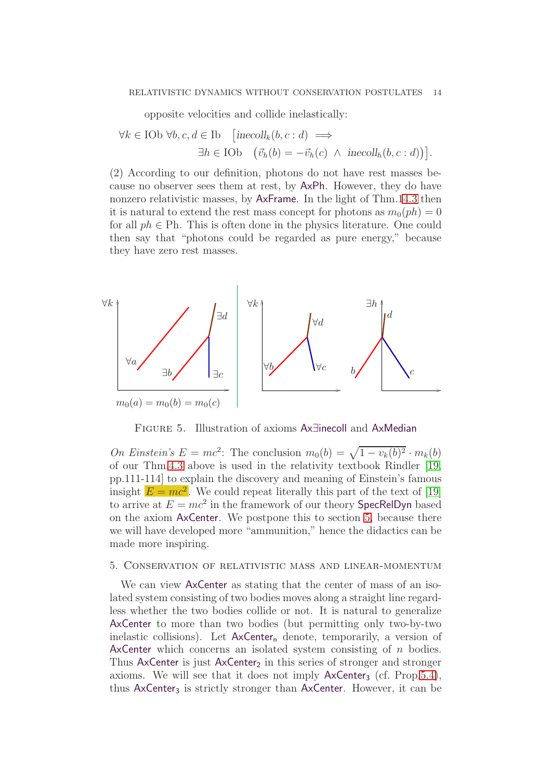opposite velocities and collide inelastically:

$$
\forall k \in \text{IOb } \forall b, c, d \in \text{lb} \quad [\text{inecoll}_k(b, c : d) \implies
$$

$$
\exists h \in \text{IOb} \quad (\vec{v}_h(b) = -\vec{v}_h(c) \ \land \ \text{inecoll}_h(b, c : d)) \big].
$$

(2) According to our definition, photons do not have rest masses because no observer sees them at rest, by AxPh. However, they do have nonzero relativistic masses, by AxFrame. In the light of Thm.[14.3](#page-10-0) then it is natural to extend the rest mass concept for photons as  $m_0(ph) = 0$ for all  $ph \in Ph$ . This is often done in the physics literature. One could

then say that "photons could be regarded as pure energy," because  $\underline{\text{PSfrag replacements}}^\text{uncu box}\text{ have zero rest masses.}$ 



Figure 5. Illustration of axioms Ax∃inecoll and AxMedian

On Einstein's  $E = mc^2$ : The conclusion  $m_0(b) = \sqrt{1 - v_k(b)^2} \cdot m_k(b)$ of our Thm[.4.3](#page-10-0) above is used in the relativity textbook Rindler [\[19,](#page-19-13) pp.111-114] to explain the discovery and meaning of Einstein's famous insight  $E = mc^2$ . We could repeat literally this part of the text of [\[19\]](#page-19-13) to arrive at  $E = mc^2$  in the framework of our theory **SpecRelDyn** based on the axiom AxCenter. We postpone this to section [5,](#page-13-0) because there we will have developed more "ammunition," hence the didactics can be made more inspiring.

### <span id="page-13-0"></span>5. Conservation of relativistic mass and linear-momentum

We can view AxCenter as stating that the center of mass of an isolated system consisting of two bodies moves along a straight line regardless whether the two bodies collide or not. It is natural to generalize AxCenter to more than two bodies (but permitting only two-by-two inelastic collisions). Let  $AxCenter_n$  denote, temporarily, a version of AxCenter which concerns an isolated system consisting of n bodies. Thus  $AxCenter$  is just  $AxCenter<sub>2</sub>$  in this series of stronger and stronger axioms. We will see that it does not imply  $AxCenter_3$  (cf. Prop.5.4), thus  $AxCenter<sub>3</sub>$  is strictly stronger than  $AxCenter$ . However, it can be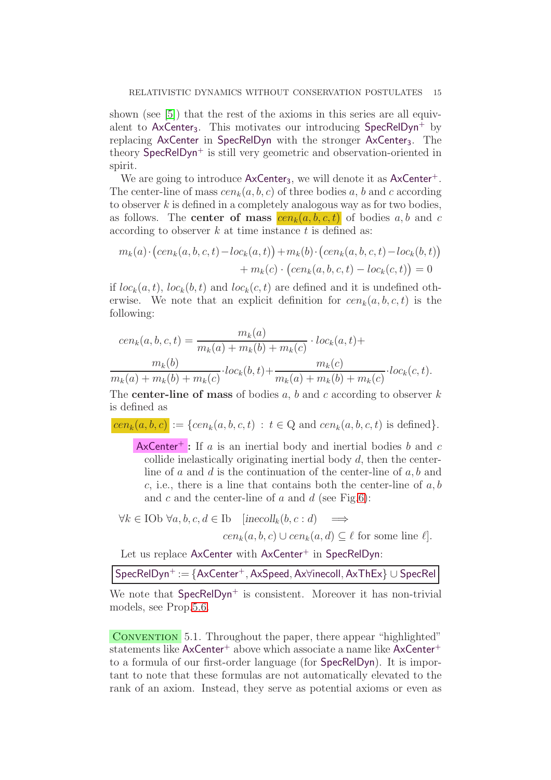shown (see [\[5\]](#page-19-17)) that the rest of the axioms in this series are all equivalent to  $AxCenter_3$ . This motivates our introducing  $SpecRelDyn^+$  by replacing AxCenter in SpecRelDyn with the stronger AxCenter<sub>3</sub>. The theory SpecRelDyn<sup>+</sup> is still very geometric and observation-oriented in spirit.

We are going to introduce  $AxCenter_3$ , we will denote it as  $AxCenter^+$ . The center-line of mass  $cen<sub>k</sub>(a, b, c)$  of three bodies a, b and c according to observer k is defined in a completely analogous way as for two bodies, as follows. The **center of mass**  $\frac{cen_k(a, b, c, t)}{o}$  of bodies a, b and c according to observer  $k$  at time instance  $t$  is defined as:

$$
m_k(a) \cdot (cen_k(a, b, c, t) - loc_k(a, t)) + m_k(b) \cdot (cen_k(a, b, c, t) - loc_k(b, t)) + m_k(c) \cdot (cen_k(a, b, c, t) - loc_k(c, t)) = 0
$$

if  $loc_k(a, t)$ ,  $loc_k(b, t)$  and  $loc_k(c, t)$  are defined and it is undefined otherwise. We note that an explicit definition for  $cen<sub>k</sub>(a, b, c, t)$  is the following:

$$
cen_k(a, b, c, t) = \frac{m_k(a)}{m_k(a) + m_k(b) + m_k(c)} \cdot loc_k(a, t) +
$$
  

$$
\frac{m_k(b)}{m_k(a) + m_k(b) + m_k(c)} \cdot loc_k(b, t) + \frac{m_k(c)}{m_k(a) + m_k(b) + m_k(c)} \cdot loc_k(c, t).
$$

The **center-line of mass** of bodies  $a, b$  and c according to observer  $k$ is defined as

 $\boxed{cen_k(a, b, c)} := \{cen_k(a, b, c, t) : t \in \mathbb{Q} \text{ and } cen_k(a, b, c, t) \text{ is defined} \}.$ 

 $AxCenter^+$ : If a is an inertial body and inertial bodies b and c collide inelastically originating inertial body  $d$ , then the centerline of a and d is the continuation of the center-line of  $a, b$  and c, i.e., there is a line that contains both the center-line of  $a, b$ and c and the center-line of a and d (see Fig[.6\)](#page-15-0):

$$
\forall k \in \text{IOb } \forall a, b, c, d \in \text{Ib} \quad [\text{inecoll}_k(b, c : d) \implies
$$

 $cen_k(a, b, c) \cup cen_k(a, d) \subseteq \ell$  for some line  $\ell$ .

Let us replace AxCenter with AxCenter<sup>+</sup> in SpecRelDyn:

| $\mathsf{SpecRelDyn}^+ := \{\mathsf{AxCenter}^+, \mathsf{AxSpeed}, \mathsf{AxV}$ inecoll, $\mathsf{AxThEx}\} \cup \mathsf{SpecRel}$ |  |  |
|-------------------------------------------------------------------------------------------------------------------------------------|--|--|
|-------------------------------------------------------------------------------------------------------------------------------------|--|--|

We note that  $\mathsf{SpecRelDyn}^+$  is consistent. Moreover it has non-trivial models, see Prop[.5.6.](#page-18-1)

Convention 5.1. Throughout the paper, there appear "highlighted" statements like AxCenter<sup>+</sup> above which associate a name like AxCenter<sup>+</sup> to a formula of our first-order language (for SpecRelDyn). It is important to note that these formulas are not automatically elevated to the rank of an axiom. Instead, they serve as potential axioms or even as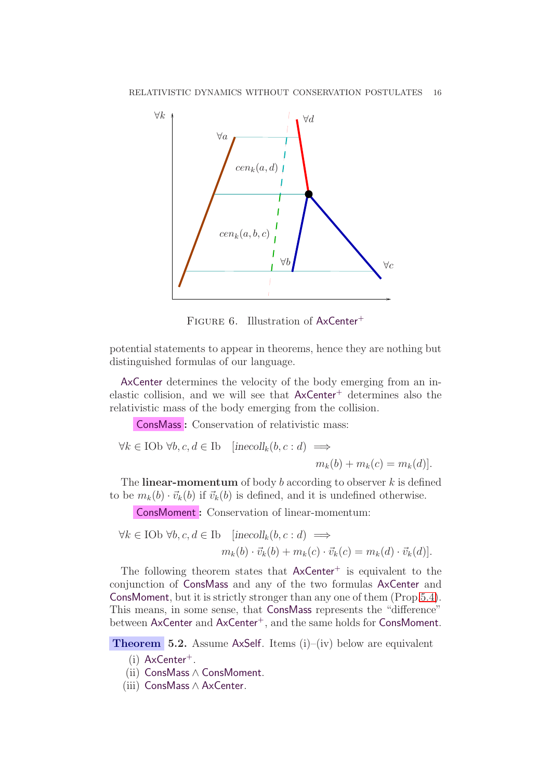

<span id="page-15-0"></span>FIGURE 6. Illustration of AxCenter<sup>+</sup>

potential statements to appear in theorems, hence they are nothing but distinguished formulas of our language.

AxCenter determines the velocity of the body emerging from an inelastic collision, and we will see that  $AxCenter<sup>+</sup>$  determines also the relativistic mass of the body emerging from the collision.

ConsMass : Conservation of relativistic mass:

$$
\forall k \in \text{IOb } \forall b, c, d \in \text{Ib} \quad [\text{inecoll}_k(b, c : d) \implies \nm_k(b) + m_k(c) = m_k(d)].
$$

The **linear-momentum** of body b according to observer  $k$  is defined to be  $m_k(b) \cdot \vec{v}_k(b)$  if  $\vec{v}_k(b)$  is defined, and it is undefined otherwise.

ConsMoment : Conservation of linear-momentum:

$$
\forall k \in \text{IOb } \forall b, c, d \in \text{Ib} \quad [\text{inecoll}_k(b, c : d) \implies \nm_k(b) \cdot \vec{v}_k(b) + m_k(c) \cdot \vec{v}_k(c) = m_k(d) \cdot \vec{v}_k(d)].
$$

The following theorem states that  $AxCenter^+$  is equivalent to the conjunction of ConsMass and any of the two formulas AxCenter and ConsMoment, but it is strictly stronger than any one of them (Prop.5.4). This means, in some sense, that ConsMass represents the "difference" between AxCenter and AxCenter<sup>+</sup>, and the same holds for ConsMoment.

<span id="page-15-1"></span>Theorem 5.2. Assume AxSelf. Items (i)–(iv) below are equivalent

- $(i)$  AxCenter<sup>+</sup>.
- (ii) ConsMass ∧ ConsMoment.
- (iii) ConsMass ∧ AxCenter.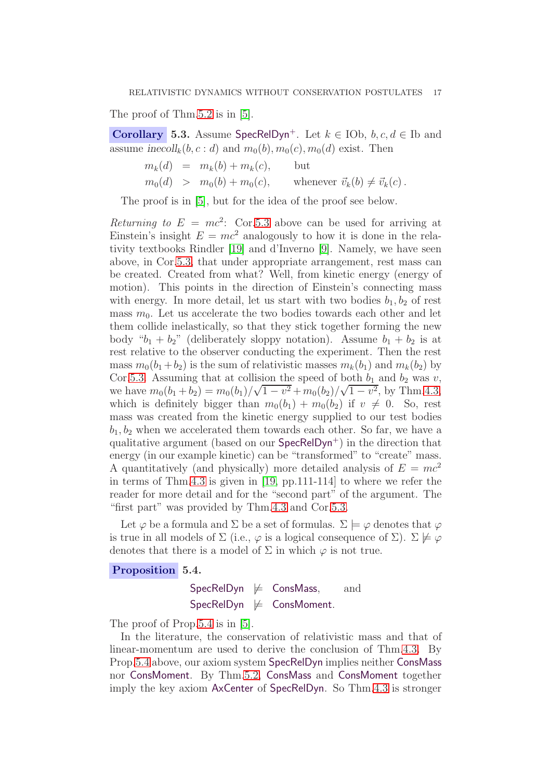The proof of Thm[.5.2](#page-15-1) is in [\[5\]](#page-19-17).

<span id="page-16-0"></span>**Corollary** 5.3. Assume SpecRelDyn<sup>+</sup>. Let  $k \in$  IOb,  $b, c, d \in$  Ib and assume inecoll<sub>k</sub> $(b, c : d)$  and  $m_0(b), m_0(c), m_0(d)$  exist. Then

$$
m_k(d) = m_k(b) + m_k(c), \quad \text{but}
$$
  
\n
$$
m_0(d) > m_0(b) + m_0(c), \quad \text{whenever } \vec{v}_k(b) \neq \vec{v}_k(c).
$$

The proof is in [\[5\]](#page-19-17), but for the idea of the proof see below.

Returning to  $E = mc^2$ : Cor[.5.3](#page-16-0) above can be used for arriving at Einstein's insight  $E = mc^2$  analogously to how it is done in the relativity textbooks Rindler [\[19\]](#page-19-13) and d'Inverno [\[9\]](#page-19-12). Namely, we have seen above, in Cor[.5.3,](#page-16-0) that under appropriate arrangement, rest mass can be created. Created from what? Well, from kinetic energy (energy of motion). This points in the direction of Einstein's connecting mass with energy. In more detail, let us start with two bodies  $b_1, b_2$  of rest mass  $m_0$ . Let us accelerate the two bodies towards each other and let them collide inelastically, so that they stick together forming the new body " $b_1 + b_2$ " (deliberately sloppy notation). Assume  $b_1 + b_2$  is at rest relative to the observer conducting the experiment. Then the rest mass  $m_0(b_1 + b_2)$  is the sum of relativistic masses  $m_k(b_1)$  and  $m_k(b_2)$  by Cor[.5.3.](#page-16-0) Assuming that at collision the speed of both  $b_1$  and  $b_2$  was v, we have  $m_0(b_1 + b_2) = m_0(b_1)/\sqrt{1 - v^2} + m_0(b_2)/\sqrt{1 - v^2}$ , by Thm[.4.3,](#page-10-0) which is definitely bigger than  $m_0(b_1) + m_0(b_2)$  if  $v \neq 0$ . So, rest mass was created from the kinetic energy supplied to our test bodies  $b_1, b_2$  when we accelerated them towards each other. So far, we have a qualitative argument (based on our SpecRelDyn<sup>+</sup>) in the direction that energy (in our example kinetic) can be "transformed" to "create" mass. A quantitatively (and physically) more detailed analysis of  $E = mc^2$ in terms of Thm[.4.3](#page-10-0) is given in [\[19,](#page-19-13) pp.111-114] to where we refer the reader for more detail and for the "second part" of the argument. The "first part" was provided by Thm[.4.3](#page-10-0) and Cor[.5.3.](#page-16-0)

Let  $\varphi$  be a formula and  $\Sigma$  be a set of formulas.  $\Sigma \models \varphi$  denotes that  $\varphi$ is true in all models of  $\Sigma$  (i.e.,  $\varphi$  is a logical consequence of  $\Sigma$ ).  $\Sigma \not\models \varphi$ denotes that there is a model of  $\Sigma$  in which  $\varphi$  is not true.

Proposition 5.4.

SpecRelDyn  $\not\models$  ConsMass, and  $SpecRelDyn \not\models ConsMoment.$ 

The proof of Prop.5.4 is in [\[5\]](#page-19-17).

In the literature, the conservation of relativistic mass and that of linear-momentum are used to derive the conclusion of Thm[.4.3.](#page-10-0) By Prop.5.4 above, our axiom system SpecRelDyn implies neither ConsMass nor ConsMoment. By Thm[.5.2,](#page-15-1) ConsMass and ConsMoment together imply the key axiom AxCenter of SpecRelDyn. So Thm[.4.3](#page-10-0) is stronger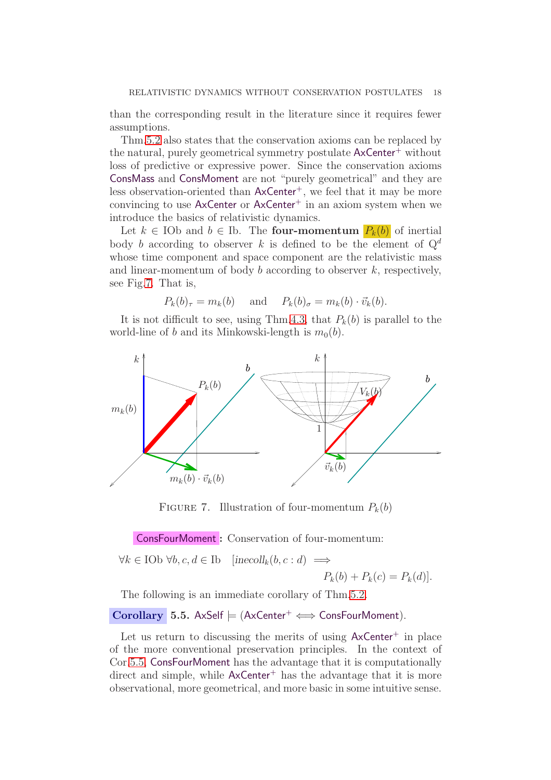than the corresponding result in the literature since it requires fewer assumptions.

Thm[.5.2](#page-15-1) also states that the conservation axioms can be replaced by the natural, purely geometrical symmetry postulate  $AxCenter^+$  without loss of predictive or expressive power. Since the conservation axioms ConsMass and ConsMoment are not "purely geometrical" and they are less observation-oriented than  $AxCenter^+$ , we feel that it may be more convincing to use AxCenter or AxCenter<sup>+</sup> in an axiom system when we introduce the basics of relativistic dynamics.

Let  $k \in I$ Ob and  $b \in I$ b. The **four-momentum**  $P_k(b)$  of inertial body b according to observer k is defined to be the element of  $Q^d$ whose time component and space component are the relativistic mass and linear-momentum of body  $b$  according to observer  $k$ , respectively, see Fig[.7.](#page-17-0) That is,

$$
P_k(b)_{\tau} = m_k(b)
$$
 and  $P_k(b)_{\sigma} = m_k(b) \cdot \vec{v}_k(b)$ .

It is not difficult to see, using Thm[.4.3,](#page-10-0) that  $P_k(b)$  is parallel to the world-line of b and its Minkowski-length is  $m_0(b)$ .



<span id="page-17-0"></span>FIGURE 7. Illustration of four-momentum  $P_k(b)$ 

ConsFourMoment : Conservation of four-momentum:

$$
\forall k \in \text{IOb } \forall b, c, d \in \text{Ib} \quad [\text{inecoll}_k(b, c : d) \implies P_k(b) + P_k(c) = P_k(d)].
$$

The following is an immediate corollary of Thm[.5.2.](#page-15-1)

# <span id="page-17-1"></span>Corollary 5.5. AxSelf  $\models$  (AxCenter<sup>+</sup>  $\Longleftrightarrow$  ConsFourMoment).

Let us return to discussing the merits of using  $AxCenter^+$  in place of the more conventional preservation principles. In the context of Cor[.5.5,](#page-17-1) ConsFourMoment has the advantage that it is computationally  $\alpha$  direct and simple, while  $AxCenter^+$  has the advantage that it is more observational, more geometrical, and more basic in some intuitive sense.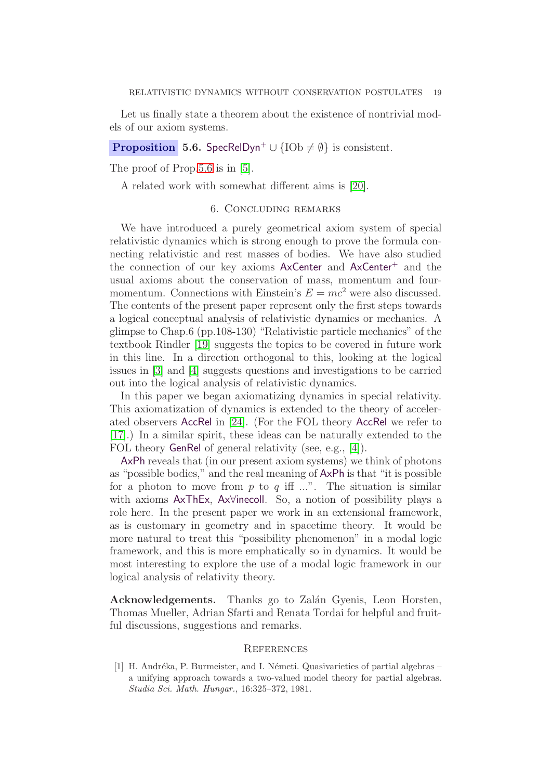Let us finally state a theorem about the existence of nontrivial models of our axiom systems.

# <span id="page-18-1"></span>**Proposition 5.6.** SpecRelDyn<sup>+</sup>  $\cup$  {IOb  $\neq$   $\emptyset$ } is consistent.

The proof of Prop[.5.6](#page-18-1) is in [\[5\]](#page-19-17).

A related work with somewhat different aims is [\[20\]](#page-19-18).

# 6. Concluding remarks

We have introduced a purely geometrical axiom system of special relativistic dynamics which is strong enough to prove the formula connecting relativistic and rest masses of bodies. We have also studied the connection of our key axioms AxCenter and AxCenter<sup>+</sup> and the usual axioms about the conservation of mass, momentum and fourmomentum. Connections with Einstein's  $E = mc^2$  were also discussed. The contents of the present paper represent only the first steps towards a logical conceptual analysis of relativistic dynamics or mechanics. A glimpse to Chap.6 (pp.108-130) "Relativistic particle mechanics" of the textbook Rindler [\[19\]](#page-19-13) suggests the topics to be covered in future work in this line. In a direction orthogonal to this, looking at the logical issues in [\[3\]](#page-19-8) and [\[4\]](#page-19-5) suggests questions and investigations to be carried out into the logical analysis of relativistic dynamics.

In this paper we began axiomatizing dynamics in special relativity. This axiomatization of dynamics is extended to the theory of accelerated observers AccRel in [\[24\]](#page-20-5). (For the FOL theory AccRel we refer to [\[17\]](#page-19-16).) In a similar spirit, these ideas can be naturally extended to the FOL theory GenRel of general relativity (see, e.g., [\[4\]](#page-19-5)).

AxPh reveals that (in our present axiom systems) we think of photons as "possible bodies," and the real meaning of AxPh is that "it is possible for a photon to move from  $p$  to  $q$  iff ...". The situation is similar with axioms AxThEx, Ax∀inecoll. So, a notion of possibility plays a role here. In the present paper we work in an extensional framework, as is customary in geometry and in spacetime theory. It would be more natural to treat this "possibility phenomenon" in a modal logic framework, and this is more emphatically so in dynamics. It would be most interesting to explore the use of a modal logic framework in our logical analysis of relativity theory.

Acknowledgements. Thanks go to Zalán Gyenis, Leon Horsten, Thomas Mueller, Adrian Sfarti and Renata Tordai for helpful and fruitful discussions, suggestions and remarks.

# **REFERENCES**

<span id="page-18-0"></span>[1] H. Andréka, P. Burmeister, and I. Németi. Quasivarieties of partial algebras – a unifying approach towards a two-valued model theory for partial algebras. *Studia Sci. Math. Hungar.*, 16:325–372, 1981.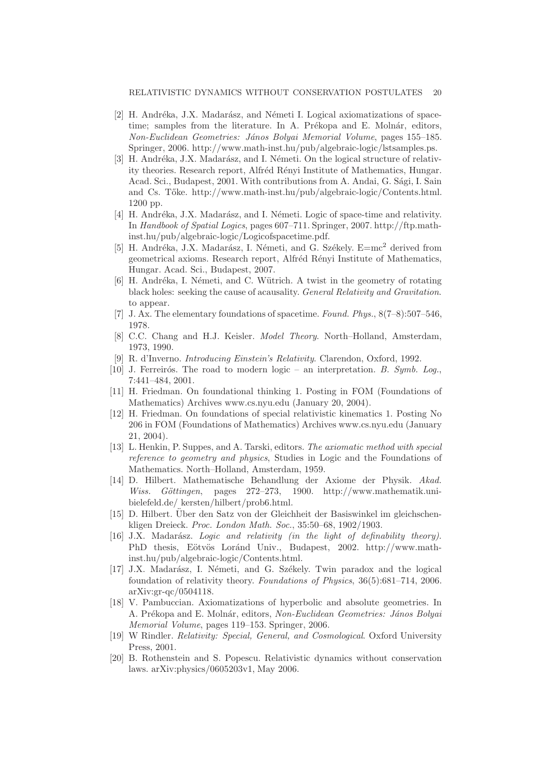- <span id="page-19-7"></span>[2] H. Andréka, J.X. Madarász, and Németi I. Logical axiomatizations of spacetime; samples from the literature. In A. Prékopa and E. Molnár, editors, *Non-Euclidean Geometries: J´anos Bolyai Memorial Volume*, pages 155–185. Springer, 2006. http://www.math-inst.hu/pub/algebraic-logic/lstsamples.ps.
- <span id="page-19-8"></span>[3] H. Andréka, J.X. Madarász, and I. Németi. On the logical structure of relativity theories. Research report, Alfréd Rényi Institute of Mathematics, Hungar. Acad. Sci., Budapest, 2001. With contributions from A. Andai, G. Sági, I. Sain and Cs. Tőke. http://www.math-inst.hu/pub/algebraic-logic/Contents.html. 1200 pp.
- <span id="page-19-5"></span>[4] H. Andréka, J.X. Madarász, and I. Németi. Logic of space-time and relativity. In *Handbook of Spatial Logics*, pages 607–711. Springer, 2007. http://ftp.mathinst.hu/pub/algebraic-logic/Logicofspacetime.pdf.
- <span id="page-19-17"></span>[5] H. Andréka, J.X. Madarász, I. Németi, and G. Székely. E=mc<sup>2</sup> derived from geometrical axioms. Research report, Alfréd Rényi Institute of Mathematics, Hungar. Acad. Sci., Budapest, 2007.
- <span id="page-19-6"></span>[6] H. Andréka, I. Németi, and C. Wütrich. A twist in the geometry of rotating black holes: seeking the cause of acausality. *General Relativity and Gravitation*. to appear.
- <span id="page-19-15"></span><span id="page-19-9"></span>[7] J. Ax. The elementary foundations of spacetime. *Found. Phys.*, 8(7–8):507–546, 1978.
- [8] C.C. Chang and H.J. Keisler. *Model Theory*. North–Holland, Amsterdam, 1973, 1990.
- <span id="page-19-12"></span><span id="page-19-10"></span>[9] R. d'Inverno. *Introducing Einstein's Relativity*. Clarendon, Oxford, 1992.
- [10] J. Ferreirós. The road to modern logic an interpretation. *B. Symb. Log.*, 7:441–484, 2001.
- <span id="page-19-3"></span>[11] H. Friedman. On foundational thinking 1. Posting in FOM (Foundations of Mathematics) Archives www.cs.nyu.edu (January 20, 2004).
- <span id="page-19-4"></span>[12] H. Friedman. On foundations of special relativistic kinematics 1. Posting No 206 in FOM (Foundations of Mathematics) Archives www.cs.nyu.edu (January 21, 2004).
- <span id="page-19-2"></span>[13] L. Henkin, P. Suppes, and A. Tarski, editors. *The axiomatic method with special reference to geometry and physics*, Studies in Logic and the Foundations of Mathematics. North–Holland, Amsterdam, 1959.
- <span id="page-19-1"></span>[14] D. Hilbert. Mathematische Behandlung der Axiome der Physik. *Akad. Wiss. Göttingen*, pages 272–273, 1900. http://www.mathematik.unibielefeld.de/ kersten/hilbert/prob6.html.
- <span id="page-19-0"></span>[15] D. Hilbert. Uber den Satz von der Gleichheit der Basiswinkel im gleichschen- ¨ kligen Dreieck. *Proc. London Math. Soc.*, 35:50–68, 1902/1903.
- <span id="page-19-14"></span>[16] J.X. Madarász. *Logic and relativity (in the light of definability theory)*. PhD thesis, Eötvös Loránd Univ., Budapest, 2002. http://www.mathinst.hu/pub/algebraic-logic/Contents.html.
- <span id="page-19-16"></span>[17] J.X. Madarász, I. Németi, and G. Székely. Twin paradox and the logical foundation of relativity theory. *Foundations of Physics*, 36(5):681–714, 2006. arXiv:gr-qc/0504118.
- <span id="page-19-11"></span>[18] V. Pambuccian. Axiomatizations of hyperbolic and absolute geometries. In A. Prékopa and E. Molnár, editors, *Non-Euclidean Geometries: János Bolyai Memorial Volume*, pages 119–153. Springer, 2006.
- <span id="page-19-13"></span>[19] W Rindler. *Relativity: Special, General, and Cosmological*. Oxford University Press, 2001.
- <span id="page-19-18"></span>[20] B. Rothenstein and S. Popescu. Relativistic dynamics without conservation laws. arXiv:physics/0605203v1, May 2006.